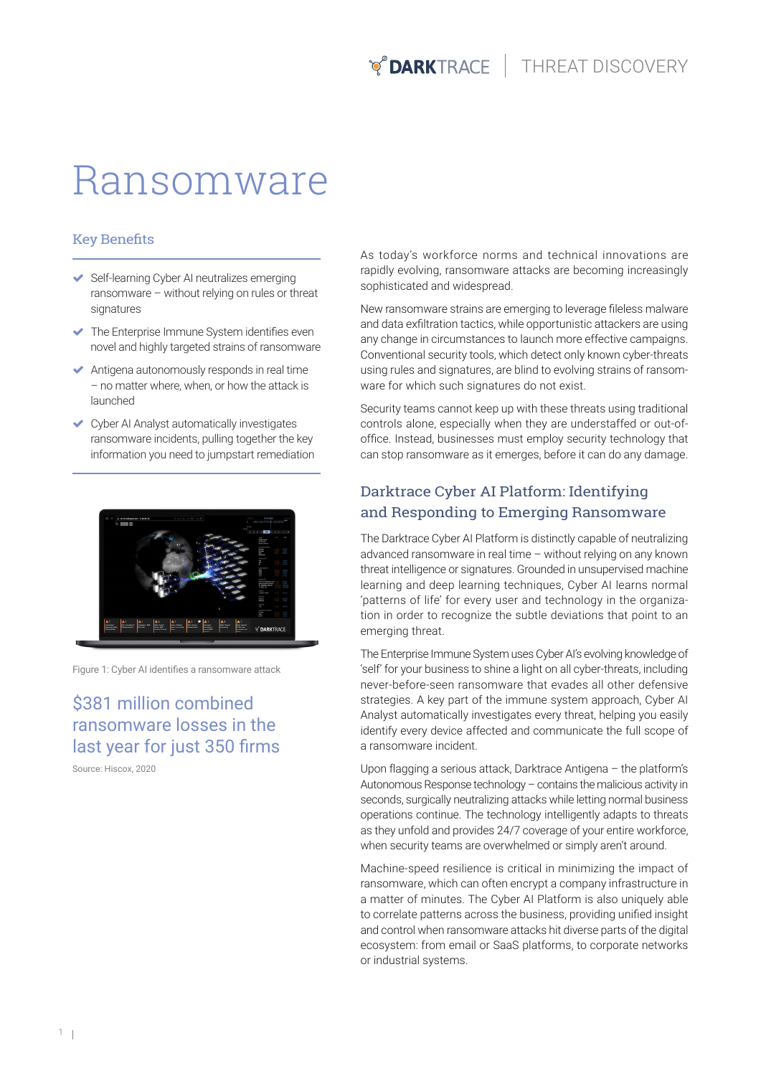# Ransomware

#### Key Benefits

- ◆ Self-learning Cyber AI neutralizes emerging ransomware – without relying on rules or threat signatures
- The Enterprise Immune System identifies even novel and highly targeted strains of ransomware
- Antigena autonomously responds in real time – no matter where, when, or how the attack is launched
- Cyber AI Analyst automatically investigates ransomware incidents, pulling together the key information you need to jumpstart remediation



Figure 1: Cyber AI identifies a ransomware attack

\$381 million combined ransomware losses in the last year for just 350 firms

Source: Hiscox, 2020

As today's workforce norms and technical innovations are rapidly evolving, ransomware attacks are becoming increasingly sophisticated and widespread.

New ransomware strains are emerging to leverage fileless malware and data exfiltration tactics, while opportunistic attackers are using any change in circumstances to launch more effective campaigns. Conventional security tools, which detect only known cyber-threats using rules and signatures, are blind to evolving strains of ransomware for which such signatures do not exist.

Security teams cannot keep up with these threats using traditional controls alone, especially when they are understaffed or out-ofoffice. Instead, businesses must employ security technology that can stop ransomware as it emerges, before it can do any damage.

#### Darktrace Cyber AI Platform: Identifying and Responding to Emerging Ransomware

The Darktrace Cyber AI Platform is distinctly capable of neutralizing advanced ransomware in real time – without relying on any known threat intelligence or signatures. Grounded in unsupervised machine learning and deep learning techniques, Cyber AI learns normal 'patterns of life' for every user and technology in the organization in order to recognize the subtle deviations that point to an emerging threat.

The Enterprise Immune System uses Cyber AI's evolving knowledge of 'self' for your business to shine a light on all cyber-threats, including never-before-seen ransomware that evades all other defensive strategies. A key part of the immune system approach, Cyber AI Analyst automatically investigates every threat, helping you easily identify every device affected and communicate the full scope of a ransomware incident.

Upon flagging a serious attack, Darktrace Antigena – the platform's Autonomous Response technology – contains the malicious activity in seconds, surgically neutralizing attacks while letting normal business operations continue. The technology intelligently adapts to threats as they unfold and provides 24/7 coverage of your entire workforce, when security teams are overwhelmed or simply aren't around.

Machine-speed resilience is critical in minimizing the impact of ransomware, which can often encrypt a company infrastructure in a matter of minutes. The Cyber AI Platform is also uniquely able to correlate patterns across the business, providing unified insight and control when ransomware attacks hit diverse parts of the digital ecosystem: from email or SaaS platforms, to corporate networks or industrial systems.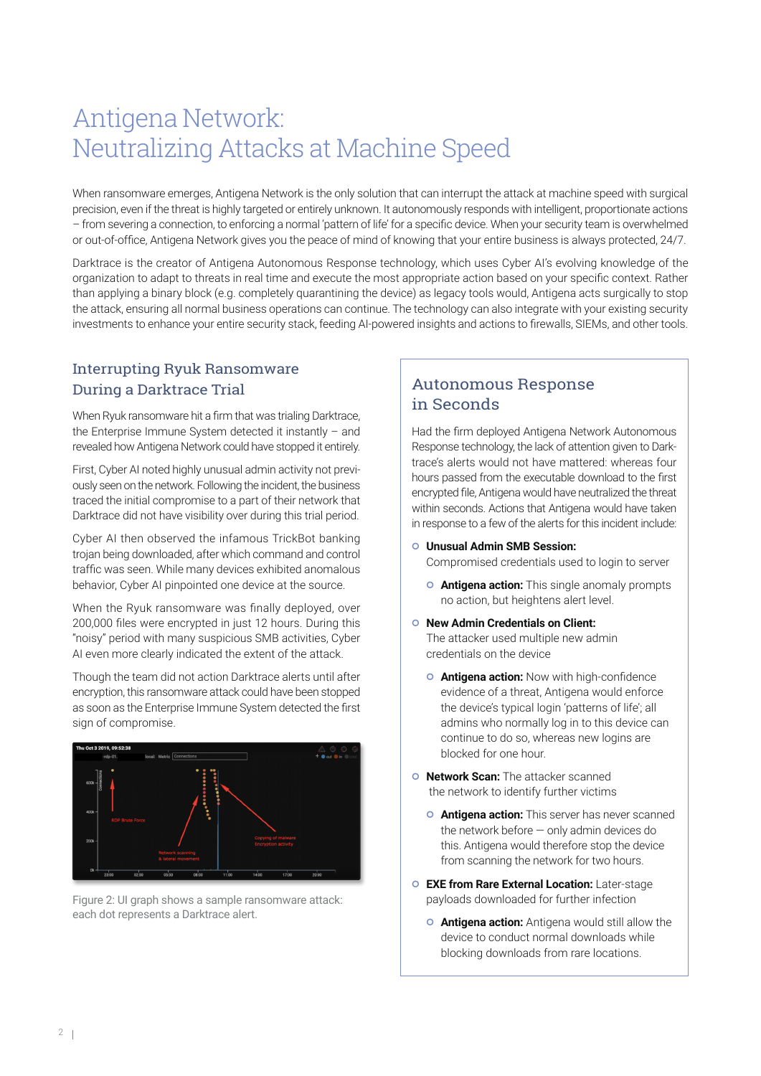# Antigena Network: Neutralizing Attacks at Machine Speed

When ransomware emerges, Antigena Network is the only solution that can interrupt the attack at machine speed with surgical precision, even if the threat is highly targeted or entirely unknown. It autonomously responds with intelligent, proportionate actions – from severing a connection, to enforcing a normal 'pattern of life' for a specific device. When your security team is overwhelmed or out-of-office, Antigena Network gives you the peace of mind of knowing that your entire business is always protected, 24/7.

Darktrace is the creator of Antigena Autonomous Response technology, which uses Cyber AI's evolving knowledge of the organization to adapt to threats in real time and execute the most appropriate action based on your specific context. Rather than applying a binary block (e.g. completely quarantining the device) as legacy tools would, Antigena acts surgically to stop the attack, ensuring all normal business operations can continue. The technology can also integrate with your existing security investments to enhance your entire security stack, feeding AI-powered insights and actions to firewalls, SIEMs, and other tools.

#### Interrupting Ryuk Ransomware During a Darktrace Trial

When Ryuk ransomware hit a firm that was trialing Darktrace, the Enterprise Immune System detected it instantly – and revealed how Antigena Network could have stopped it entirely.

First, Cyber AI noted highly unusual admin activity not previously seen on the network. Following the incident, the business traced the initial compromise to a part of their network that Darktrace did not have visibility over during this trial period.

Cyber AI then observed the infamous TrickBot banking trojan being downloaded, after which command and control traffic was seen. While many devices exhibited anomalous behavior, Cyber AI pinpointed one device at the source.

When the Ryuk ransomware was finally deployed, over 200,000 files were encrypted in just 12 hours. During this "noisy" period with many suspicious SMB activities, Cyber AI even more clearly indicated the extent of the attack.

Though the team did not action Darktrace alerts until after encryption, this ransomware attack could have been stopped as soon as the Enterprise Immune System detected the first sign of compromise.



Figure 2: UI graph shows a sample ransomware attack: each dot represents a Darktrace alert.

### Autonomous Response in Seconds

Had the firm deployed Antigena Network Autonomous Response technology, the lack of attention given to Darktrace's alerts would not have mattered: whereas four hours passed from the executable download to the first encrypted file, Antigena would have neutralized the threat within seconds. Actions that Antigena would have taken in response to a few of the alerts for this incident include:

- **Unusual Admin SMB Session:** Compromised credentials used to login to server
	- **Antigena action:** This single anomaly prompts no action, but heightens alert level.
- **New Admin Credentials on Client:** The attacker used multiple new admin credentials on the device
	- **Antigena action:** Now with high-confidence evidence of a threat, Antigena would enforce the device's typical login 'patterns of life'; all admins who normally log in to this device can continue to do so, whereas new logins are blocked for one hour.
- **O** Network Scan: The attacker scanned the network to identify further victims
	- **Antigena action:** This server has never scanned the network before — only admin devices do this. Antigena would therefore stop the device from scanning the network for two hours.
- **EXE from Rare External Location:** Later-stage payloads downloaded for further infection
	- **Antigena action:** Antigena would still allow the device to conduct normal downloads while blocking downloads from rare locations.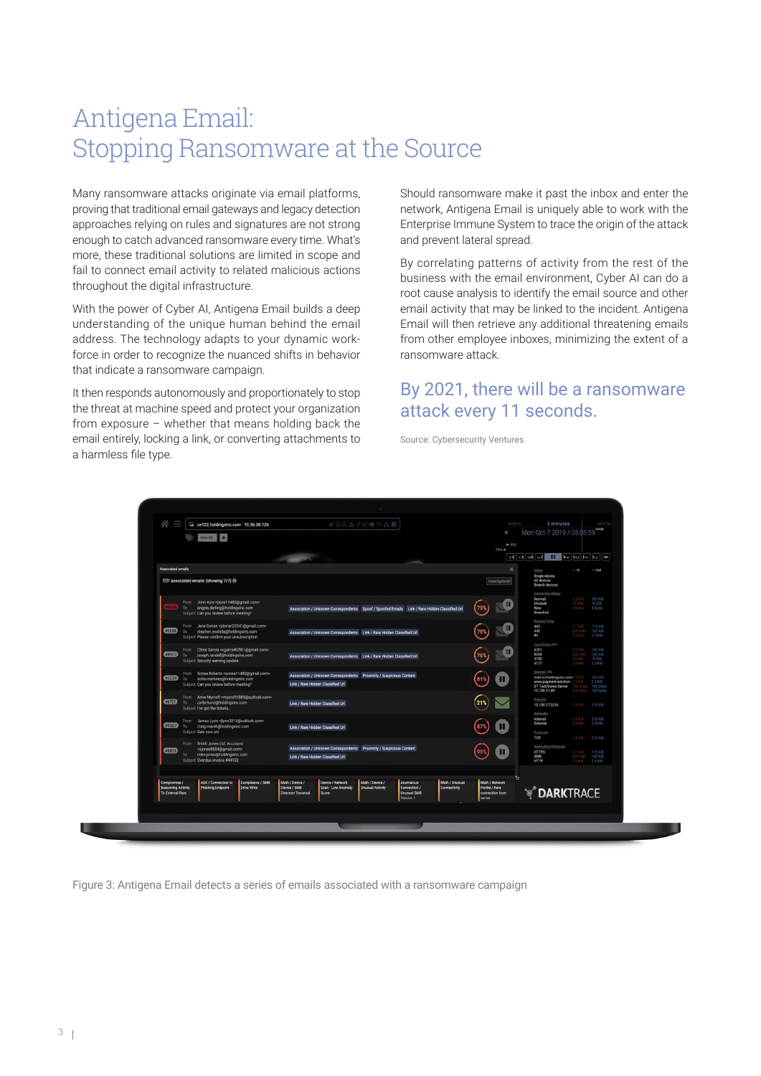## Antigena Email: Stopping Ransomware at the Source

Many ransomware attacks originate via email platforms, proving that traditional email gateways and legacy detection approaches relying on rules and signatures are not strong enough to catch advanced ransomware every time. What's more, these traditional solutions are limited in scope and fail to connect email activity to related malicious actions throughout the digital infrastructure.

With the power of Cyber AI, Antigena Email builds a deep understanding of the unique human behind the email address. The technology adapts to your dynamic workforce in order to recognize the nuanced shifts in behavior that indicate a ransomware campaign.

It then responds autonomously and proportionately to stop the threat at machine speed and protect your organization from exposure – whether that means holding back the email entirely, locking a link, or converting attachments to a harmless file type.

Should ransomware make it past the inbox and enter the network, Antigena Email is uniquely able to work with the Enterprise Immune System to trace the origin of the attack and prevent lateral spread.

By correlating patterns of activity from the rest of the business with the email environment, Cyber AI can do a root cause analysis to identify the email source and other email activity that may be linked to the incident. Antigena Email will then retrieve any additional threatening emails from other employee inboxes, minimizing the extent of a ransomware attack.

### By 2021, there will be a ransomware attack every 11 seconds.

Source: Cybersecurity Ventures

| 谷<br>ce122.holdingsinc.com · 10.36.38.126                                                                                                                                 | ◎5三△ノビ崎水器■                                                                                                                                                              | 05:02:22<br>$\times$                        | 5 minutes<br>Mon Oct 7 2019 / 05:05:59                                                                                                                            |
|---------------------------------------------------------------------------------------------------------------------------------------------------------------------------|-------------------------------------------------------------------------------------------------------------------------------------------------------------------------|---------------------------------------------|-------------------------------------------------------------------------------------------------------------------------------------------------------------------|
| View All                                                                                                                                                                  |                                                                                                                                                                         | $+ 60s$<br>$15m +$                          |                                                                                                                                                                   |
|                                                                                                                                                                           |                                                                                                                                                                         |                                             | <b>ad Ed tod m4 II</b> Pm 20 Ph 2d   M                                                                                                                            |
| Associated emails                                                                                                                                                         |                                                                                                                                                                         | $\times$                                    | $-$ In<br>$\rightarrow$ Out<br>Views<br>Single device                                                                                                             |
| ⊠7 associated emails (showing 7/7) <sup>●</sup>                                                                                                                           |                                                                                                                                                                         | Investigate all                             | All devices<br>Breach devices<br>Connection Status                                                                                                                |
| From John Ayre <jayre11480@gmail.com><br/>angela.darling@holdingsinc.com<br/>To<br/>Subject Can you review before meeting?</jayre11480@gmail.com>                         | Association / Unknown Correspondents Spoof / Spoofed Emails Link / Rare Hidden Classified Url                                                                           |                                             | 2.3 GiB<br>205 KiB<br>10 KiB<br>Normal<br>Unusual<br>0 bytes<br>New<br>0 bytes<br>Breached                                                                        |
| From Jane Dorian <jdorian23241@gmail.com><br/>#EE8B<br/>stephen.yoshida@holdingsinc.com<br/>To<br/>Subject Please confirm your unsubscription</jdorian23241@gmail.com>    | Association / Unknown Correspondents   Link / Rare Hidden Classified Url                                                                                                | ŒП                                          | <b>Remote Ports</b><br>2.1 GiB<br>220 MiB<br>115 KiB<br>443<br>445<br>100 KiB<br>2.3 KB<br>80<br>23 K/B                                                           |
| From Chloe Garcia <cgarcia82501@gmail.com><br/><b>#B5C2</b><br/>joseph.randall@holdingsinc.com<br/>To<br/>Subject Security warning update</cgarcia82501@gmail.com>        | Association / Unknown Correspondents Link / Rare Hidden Classified Url                                                                                                  |                                             | Local Ports (39)<br>2.0 GiB<br>220 MiB<br>10 MiB<br>100 KiB<br>6701<br>8209<br>100 KiB<br>4190<br>10 KiB<br>$2.0$ KiB<br>4177<br>2.0 KiB                          |
| From Sonea Roberts <sonea11480@gmail.com><br/>ACC29<br/>sofia.martinez@holdingsinc.com<br/>To<br/>Subject Can you review before meeting?</sonea11480@gmail.com>           | Association / Unknown Correspondents Proximity / Suspicious Content<br>Link / Rare Hidden Classified Url                                                                |                                             | Devices (35)<br>mail-oc.holdingsinc.com2<br>205 KiB<br>3 K B<br>www.payment-solution-<br>2.3 KiB<br>DT Test/Demo Server<br>100 bytes<br>10.100.17.49<br>100 bytes |
| From Anne Mycroft <mycroft1889@outlook.com><br/>#67EF<br/>carla.hurst@holdingsinc.com<br/>To<br/>Subject I've got the tickets</mycroft1889@outlook.com>                   | Link / Rare Hidden Classified Url                                                                                                                                       |                                             | Subnets<br>10.100.17.0/24<br>2.3 G B<br>210 KiB<br>Networks                                                                                                       |
| From James Lyon <jlyon2213@outlook.com><br/>#9DD7<br/>craig.marsh@holdingsinc.com<br/>To<br/>Subject Sale now on!</jlyon2213@outlook.com>                                 | Link / Rare Hidden Classified Url                                                                                                                                       |                                             | 210 KiB<br>2.3 KiB<br>Internal<br>2.3 GIB<br>2.3 KIB<br>External<br>Protocols<br>TCP<br>2.3 GiB<br>215 KiB                                                        |
| From Smith Jones Ltd. Accounts<br><sjones8654@gmail.com><br/><b>#8B29</b><br/>mike.jones@holdingsinc.com<br/>To<br/>Subiect Overdue invoice #44152</sjones8654@gmail.com> | Association / Unknown Correspondents  Proximity / Suspicious Content<br>Link / Rare Hidden Classified Url                                                               |                                             | Application Protocols<br>2.1 GiB<br>220 MiB<br>115 KiB<br><b>HTTPS</b><br>100 KiB<br><b>SMB</b><br><b>HTTP</b><br>2.3 KiB<br>2.3 KiB                              |
| AGE / Connection to<br>Compliance / SMB<br>Compromise /                                                                                                                   | Math / Device /<br>Device / Network<br>Anomalous<br>Math / Unusual<br>Math / Device /                                                                                   | ø<br>Math / Network                         |                                                                                                                                                                   |
| <b>Beaconing Activity</b><br>Phishing Endpoint<br><b>Drive Write</b><br><b>To External Rare</b>                                                                           | Device / SMB<br>Connection /<br>Scan - Low Anomaly<br><b>Unusual Activity</b><br>Connectivity<br><b>Unusual SMR</b><br><b>Directory Traversal</b><br>Score<br>Version 1 | Profile / Rare<br>connection from<br>server | <b>THE DARKTRACE</b>                                                                                                                                              |
|                                                                                                                                                                           |                                                                                                                                                                         |                                             |                                                                                                                                                                   |

Figure 3: Antigena Email detects a series of emails associated with a ransomware campaign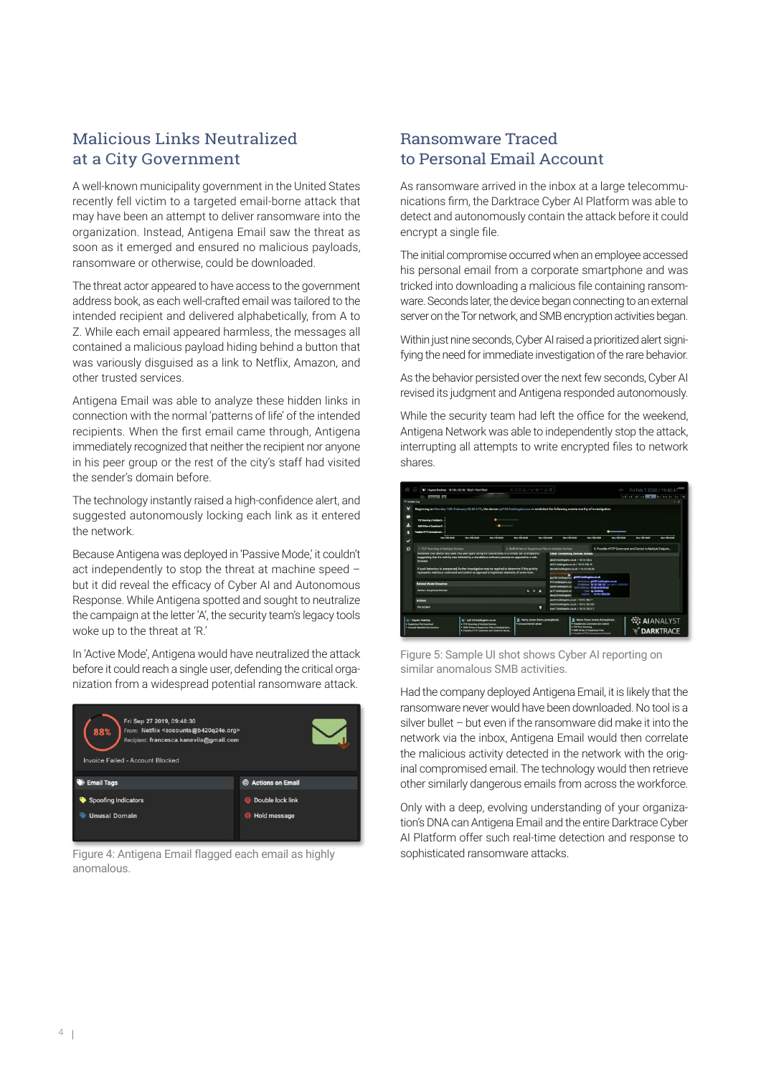### Malicious Links Neutralized at a City Government

A well-known municipality government in the United States recently fell victim to a targeted email-borne attack that may have been an attempt to deliver ransomware into the organization. Instead, Antigena Email saw the threat as soon as it emerged and ensured no malicious payloads, ransomware or otherwise, could be downloaded.

The threat actor appeared to have access to the government address book, as each well-crafted email was tailored to the intended recipient and delivered alphabetically, from A to Z. While each email appeared harmless, the messages all contained a malicious payload hiding behind a button that was variously disguised as a link to Netflix, Amazon, and other trusted services.

Antigena Email was able to analyze these hidden links in connection with the normal 'patterns of life' of the intended recipients. When the first email came through, Antigena immediately recognized that neither the recipient nor anyone in his peer group or the rest of the city's staff had visited the sender's domain before.

The technology instantly raised a high-confidence alert, and suggested autonomously locking each link as it entered the network.

Because Antigena was deployed in 'Passive Mode,' it couldn't act independently to stop the threat at machine speed – but it did reveal the efficacy of Cyber AI and Autonomous Response. While Antigena spotted and sought to neutralize the campaign at the letter 'A', the security team's legacy tools woke up to the threat at 'R.'

In 'Active Mode', Antigena would have neutralized the attack before it could reach a single user, defending the critical organization from a widespread potential ransomware attack.



Figure 4: Antigena Email flagged each email as highly anomalous.

#### Ransomware Traced to Personal Email Account

As ransomware arrived in the inbox at a large telecommunications firm, the Darktrace Cyber AI Platform was able to detect and autonomously contain the attack before it could encrypt a single file.

The initial compromise occurred when an employee accessed his personal email from a corporate smartphone and was tricked into downloading a malicious file containing ransomware. Seconds later, the device began connecting to an external server on the Tor network, and SMB encryption activities began.

Within just nine seconds, Cyber AI raised a prioritized alert signifying the need for immediate investigation of the rare behavior.

As the behavior persisted over the next few seconds, Cyber AI revised its judgment and Antigena responded autonomously.

While the security team had left the office for the weekend, Antigena Network was able to independently stop the attack, interrupting all attempts to write encrypted files to network shares.



Figure 5: Sample UI shot shows Cyber AI reporting on similar anomalous SMB activities.

Had the company deployed Antigena Email, it is likely that the ransomware never would have been downloaded. No tool is a silver bullet – but even if the ransomware did make it into the network via the inbox, Antigena Email would then correlate the malicious activity detected in the network with the original compromised email. The technology would then retrieve other similarly dangerous emails from across the workforce.

Only with a deep, evolving understanding of your organization's DNA can Antigena Email and the entire Darktrace Cyber AI Platform offer such real-time detection and response to sophisticated ransomware attacks.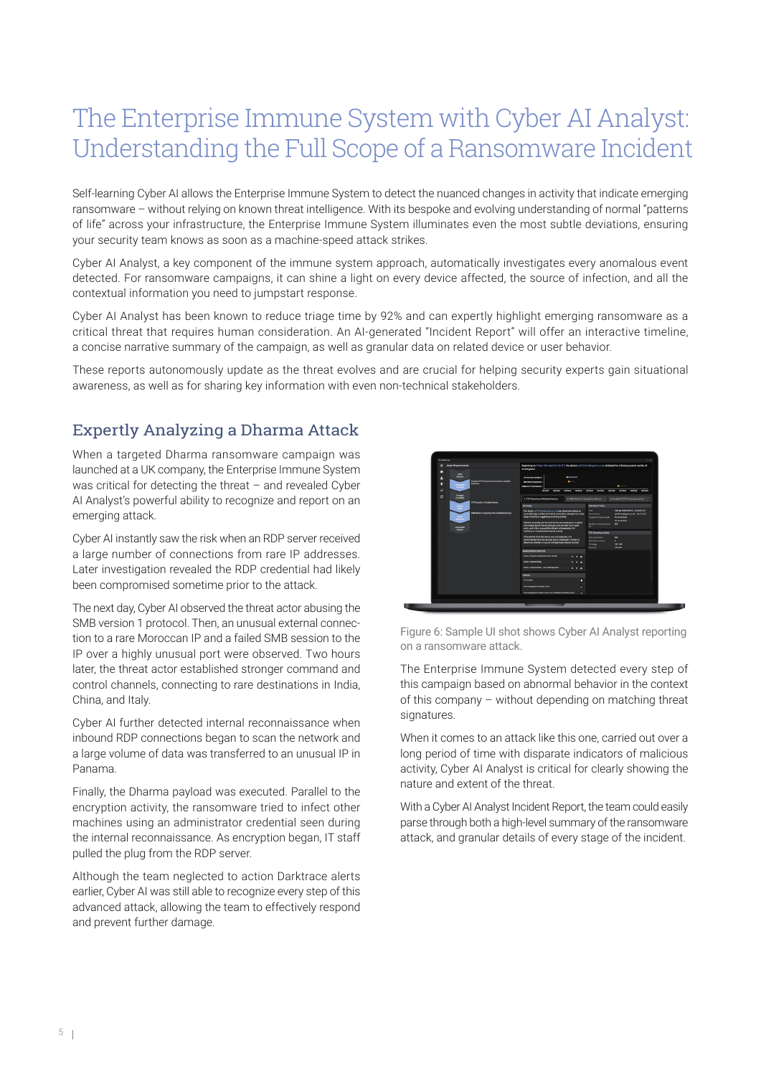# The Enterprise Immune System with Cyber AI Analyst: Understanding the Full Scope of a Ransomware Incident

Self-learning Cyber AI allows the Enterprise Immune System to detect the nuanced changes in activity that indicate emerging ransomware – without relying on known threat intelligence. With its bespoke and evolving understanding of normal "patterns of life" across your infrastructure, the Enterprise Immune System illuminates even the most subtle deviations, ensuring your security team knows as soon as a machine-speed attack strikes.

Cyber AI Analyst, a key component of the immune system approach, automatically investigates every anomalous event detected. For ransomware campaigns, it can shine a light on every device affected, the source of infection, and all the contextual information you need to jumpstart response.

Cyber AI Analyst has been known to reduce triage time by 92% and can expertly highlight emerging ransomware as a critical threat that requires human consideration. An AI-generated "Incident Report" will offer an interactive timeline, a concise narrative summary of the campaign, as well as granular data on related device or user behavior.

These reports autonomously update as the threat evolves and are crucial for helping security experts gain situational awareness, as well as for sharing key information with even non-technical stakeholders.

### Expertly Analyzing a Dharma Attack

When a targeted Dharma ransomware campaign was launched at a UK company, the Enterprise Immune System was critical for detecting the threat – and revealed Cyber AI Analyst's powerful ability to recognize and report on an emerging attack.

Cyber AI instantly saw the risk when an RDP server received a large number of connections from rare IP addresses. Later investigation revealed the RDP credential had likely been compromised sometime prior to the attack.

The next day, Cyber AI observed the threat actor abusing the SMB version 1 protocol. Then, an unusual external connection to a rare Moroccan IP and a failed SMB session to the IP over a highly unusual port were observed. Two hours later, the threat actor established stronger command and control channels, connecting to rare destinations in India, China, and Italy.

Cyber AI further detected internal reconnaissance when inbound RDP connections began to scan the network and a large volume of data was transferred to an unusual IP in Panama.

Finally, the Dharma payload was executed. Parallel to the encryption activity, the ransomware tried to infect other machines using an administrator credential seen during the internal reconnaissance. As encryption began, IT staff pulled the plug from the RDP server.

Although the team neglected to action Darktrace alerts earlier, Cyber AI was still able to recognize every step of this advanced attack, allowing the team to effectively respond and prevent further damage.



Figure 6: Sample UI shot shows Cyber AI Analyst reporting on a ransomware attack.

The Enterprise Immune System detected every step of this campaign based on abnormal behavior in the context of this company – without depending on matching threat signatures.

When it comes to an attack like this one, carried out over a long period of time with disparate indicators of malicious activity, Cyber AI Analyst is critical for clearly showing the nature and extent of the threat.

With a Cyber AI Analyst Incident Report, the team could easily parse through both a high-level summary of the ransomware attack, and granular details of every stage of the incident.